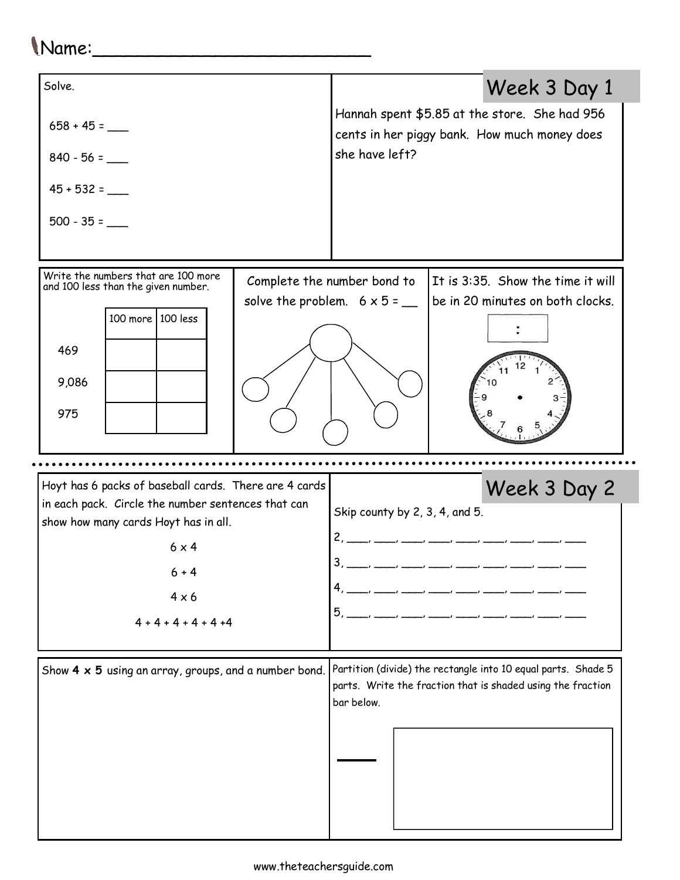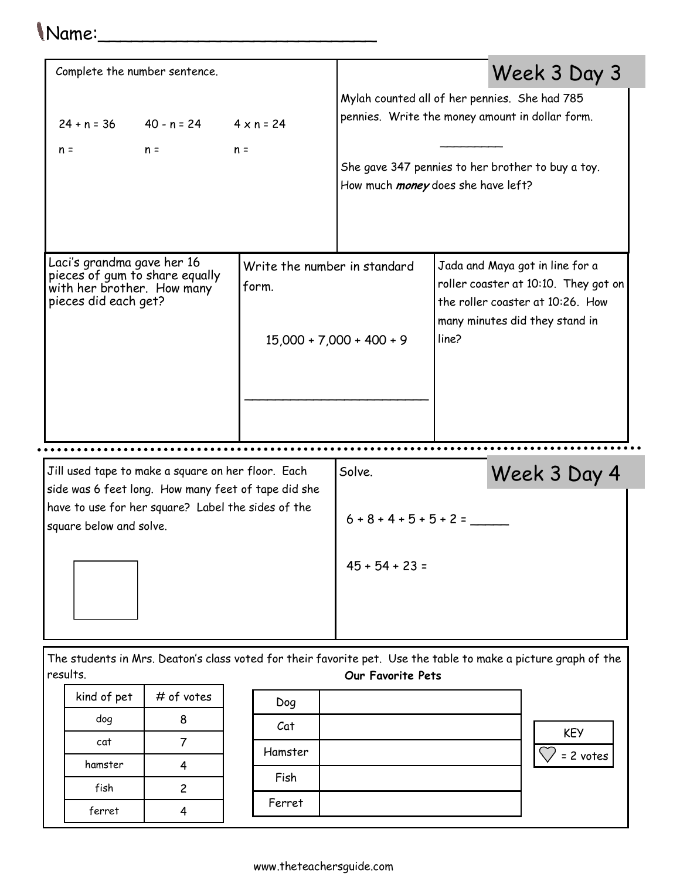## Name:\_\_\_\_\_\_\_\_\_\_\_\_\_\_\_\_\_\_\_\_\_\_\_\_\_

| Complete the number sentence.                                                                                                                                                              |                                                                     |                                                                                                                                                                                                                    |                                                                                                                                                        |
|--------------------------------------------------------------------------------------------------------------------------------------------------------------------------------------------|---------------------------------------------------------------------|--------------------------------------------------------------------------------------------------------------------------------------------------------------------------------------------------------------------|--------------------------------------------------------------------------------------------------------------------------------------------------------|
| $24 + n = 36$ 40 - n = 24 4 x n = 24<br>$n =$<br>$n =$                                                                                                                                     | $n =$                                                               | Week 3 Day 3<br>Mylah counted all of her pennies. She had 785<br>pennies. Write the money amount in dollar form.<br>She gave 347 pennies to her brother to buy a toy.<br>How much <i>money</i> does she have left? |                                                                                                                                                        |
| Laci's grandma gave her 16<br>pieces of gum to share equally<br>with her brother. How many<br>pieces did each get?                                                                         | Write the number in standard<br>form.<br>$15,000 + 7,000 + 400 + 9$ |                                                                                                                                                                                                                    | Jada and Maya got in line for a<br>roller coaster at 10:10. They got on<br>the roller coaster at 10:26. How<br>many minutes did they stand in<br>line? |
| Jill used tape to make a square on her floor. Each<br>side was 6 feet long. How many feet of tape did she<br>have to use for her square? Label the sides of the<br>square below and solve. |                                                                     | Solve.                                                                                                                                                                                                             | Week 3 Day 4                                                                                                                                           |
|                                                                                                                                                                                            |                                                                     | $6 + 8 + 4 + 5 + 5 + 2 =$                                                                                                                                                                                          |                                                                                                                                                        |
|                                                                                                                                                                                            |                                                                     | $45 + 54 + 23 =$                                                                                                                                                                                                   |                                                                                                                                                        |

The students in Mrs. Deaton's class voted for their favorite pet. Use the table to make a picture graph of the results. Our Favorite Pets

| kind of pet | # of votes |  |
|-------------|------------|--|
| dog         | R          |  |
| cat         |            |  |
| hamster     |            |  |
| fish        | 2          |  |
| ferret      |            |  |

| Dog     |            |
|---------|------------|
| Cat     | <b>KEY</b> |
| Hamster | = 2 votes  |
| Fish    |            |
| Ferret  |            |
|         |            |